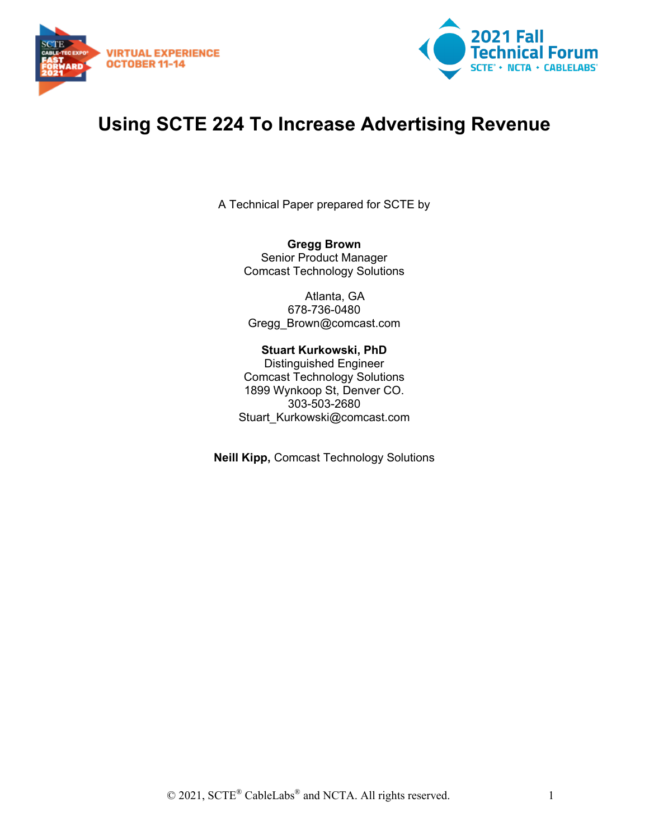



# **Using SCTE 224 To Increase Advertising Revenue**

A Technical Paper prepared for SCTE by

**Gregg Brown** Senior Product Manager Comcast Technology Solutions

Atlanta, GA 678-736-0480 Gregg\_Brown@comcast.com

#### **Stuart Kurkowski, PhD**

Distinguished Engineer Comcast Technology Solutions 1899 Wynkoop St, Denver CO. 303-503-2680 Stuart\_Kurkowski@comcast.com

**Neill Kipp,** Comcast Technology Solutions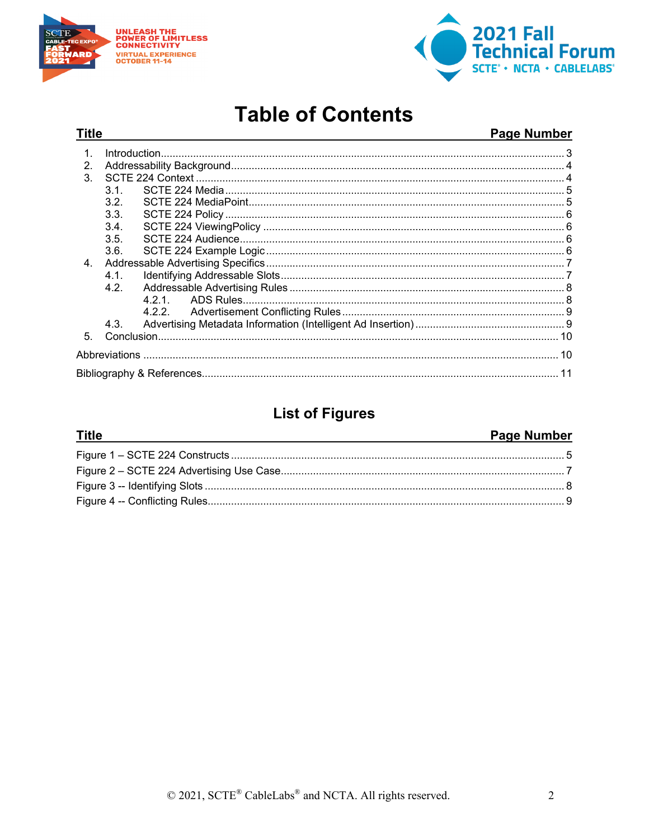

**Title** 



# **Table of Contents**

#### **Page Number**

| $\mathbf{2}$   |                  |  |  |  |
|----------------|------------------|--|--|--|
| 3              |                  |  |  |  |
|                | 3.1.             |  |  |  |
|                | 3.2.             |  |  |  |
|                | 3.3.             |  |  |  |
|                | 3.4.             |  |  |  |
|                | 3.5.             |  |  |  |
|                | 3.6.             |  |  |  |
| 4 <sub>1</sub> |                  |  |  |  |
|                | 4.1              |  |  |  |
|                | 4.2 <sub>1</sub> |  |  |  |
|                |                  |  |  |  |
|                |                  |  |  |  |
|                | 4.3.             |  |  |  |
| $5^{\circ}$    |                  |  |  |  |
|                |                  |  |  |  |
|                |                  |  |  |  |

### **List of Figures**

#### **Page Number Title**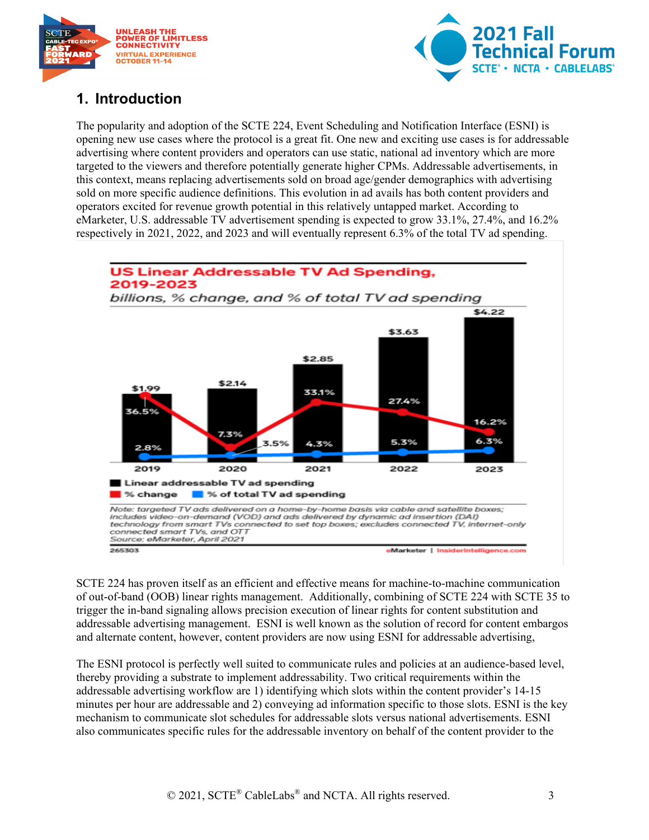



## <span id="page-2-0"></span>**1. Introduction**

The popularity and adoption of the SCTE 224, Event Scheduling and Notification Interface (ESNI) is opening new use cases where the protocol is a great fit. One new and exciting use cases is for addressable advertising where content providers and operators can use static, national ad inventory which are more targeted to the viewers and therefore potentially generate higher CPMs. Addressable advertisements, in this context, means replacing advertisements sold on broad age/gender demographics with advertising sold on more specific audience definitions. This evolution in ad avails has both content providers and operators excited for revenue growth potential in this relatively untapped market. According to eMarketer, U.S. addressable TV advertisement spending is expected to grow 33.1%, 27.4%, and 16.2% respectively in 2021, 2022, and 2023 and will eventually represent 6.3% of the total TV ad spending.



SCTE 224 has proven itself as an efficient and effective means for machine-to-machine communication of out-of-band (OOB) linear rights management. Additionally, combining of SCTE 224 with SCTE 35 to trigger the in-band signaling allows precision execution of linear rights for content substitution and addressable advertising management. ESNI is well known as the solution of record for content embargos and alternate content, however, content providers are now using ESNI for addressable advertising,

The ESNI protocol is perfectly well suited to communicate rules and policies at an audience-based level, thereby providing a substrate to implement addressability. Two critical requirements within the addressable advertising workflow are 1) identifying which slots within the content provider's 14-15 minutes per hour are addressable and 2) conveying ad information specific to those slots. ESNI is the key mechanism to communicate slot schedules for addressable slots versus national advertisements. ESNI also communicates specific rules for the addressable inventory on behalf of the content provider to the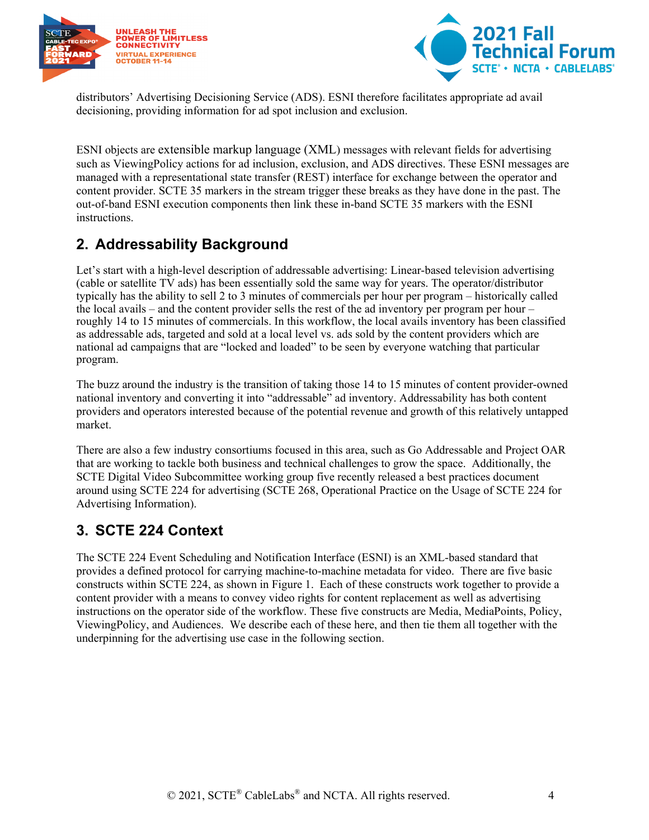



distributors' Advertising Decisioning Service (ADS). ESNI therefore facilitates appropriate ad avail decisioning, providing information for ad spot inclusion and exclusion.

ESNI objects are extensible markup language (XML) messages with relevant fields for advertising such as ViewingPolicy actions for ad inclusion, exclusion, and ADS directives. These ESNI messages are managed with a representational state transfer (REST) interface for exchange between the operator and content provider. SCTE 35 markers in the stream trigger these breaks as they have done in the past. The out-of-band ESNI execution components then link these in-band SCTE 35 markers with the ESNI instructions.

## <span id="page-3-0"></span>**2. Addressability Background**

Let's start with a high-level description of addressable advertising: Linear-based television advertising (cable or satellite TV ads) has been essentially sold the same way for years. The operator/distributor typically has the ability to sell 2 to 3 minutes of commercials per hour per program – historically called the local avails – and the content provider sells the rest of the ad inventory per program per hour – roughly 14 to 15 minutes of commercials. In this workflow, the local avails inventory has been classified as addressable ads, targeted and sold at a local level vs. ads sold by the content providers which are national ad campaigns that are "locked and loaded" to be seen by everyone watching that particular program.

The buzz around the industry is the transition of taking those 14 to 15 minutes of content provider-owned national inventory and converting it into "addressable" ad inventory. Addressability has both content providers and operators interested because of the potential revenue and growth of this relatively untapped market.

There are also a few industry consortiums focused in this area, such as Go Addressable and Project OAR that are working to tackle both business and technical challenges to grow the space. Additionally, the SCTE Digital Video Subcommittee working group five recently released a best practices document around using SCTE 224 for advertising (SCTE 268, Operational Practice on the Usage of SCTE 224 for Advertising Information).

## <span id="page-3-1"></span>**3. SCTE 224 Context**

The SCTE 224 Event Scheduling and Notification Interface (ESNI) is an XML-based standard that provides a defined protocol for carrying machine-to-machine metadata for video. There are five basic constructs within SCTE 224, as shown in Figure 1. Each of these constructs work together to provide a content provider with a means to convey video rights for content replacement as well as advertising instructions on the operator side of the workflow. These five constructs are Media, MediaPoints, Policy, ViewingPolicy, and Audiences. We describe each of these here, and then tie them all together with the underpinning for the advertising use case in the following section.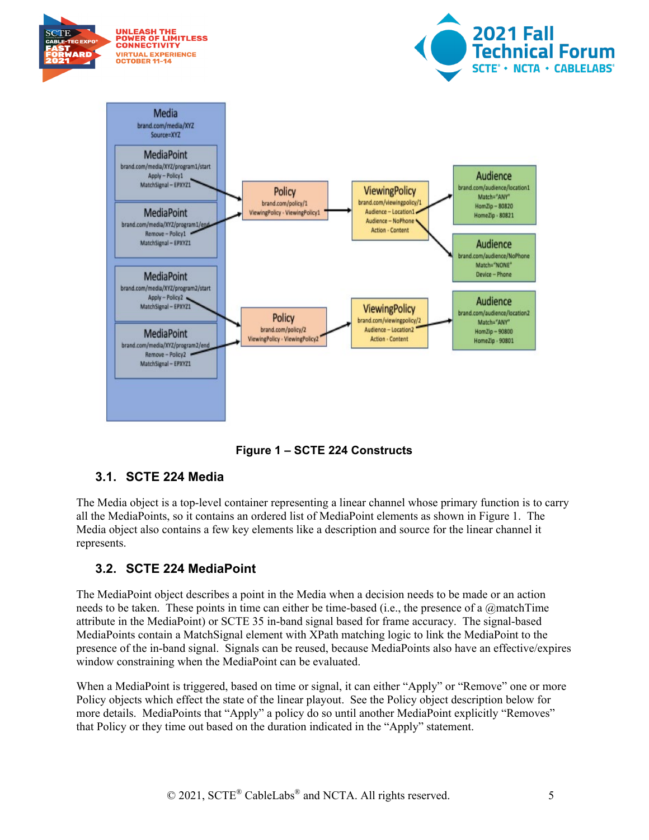

**Figure 1 – SCTE 224 Constructs**

### <span id="page-4-2"></span><span id="page-4-0"></span>**3.1. SCTE 224 Media**

The Media object is a top-level container representing a linear channel whose primary function is to carry all the MediaPoints, so it contains an ordered list of MediaPoint elements as shown in Figure 1. The Media object also contains a few key elements like a description and source for the linear channel it represents.

### <span id="page-4-1"></span>**3.2. SCTE 224 MediaPoint**

The MediaPoint object describes a point in the Media when a decision needs to be made or an action needs to be taken. These points in time can either be time-based (i.e., the presence of a @matchTime attribute in the MediaPoint) or SCTE 35 in-band signal based for frame accuracy. The signal-based MediaPoints contain a MatchSignal element with XPath matching logic to link the MediaPoint to the presence of the in-band signal. Signals can be reused, because MediaPoints also have an effective/expires window constraining when the MediaPoint can be evaluated.

When a MediaPoint is triggered, based on time or signal, it can either "Apply" or "Remove" one or more Policy objects which effect the state of the linear playout. See the Policy object description below for more details. MediaPoints that "Apply" a policy do so until another MediaPoint explicitly "Removes" that Policy or they time out based on the duration indicated in the "Apply" statement.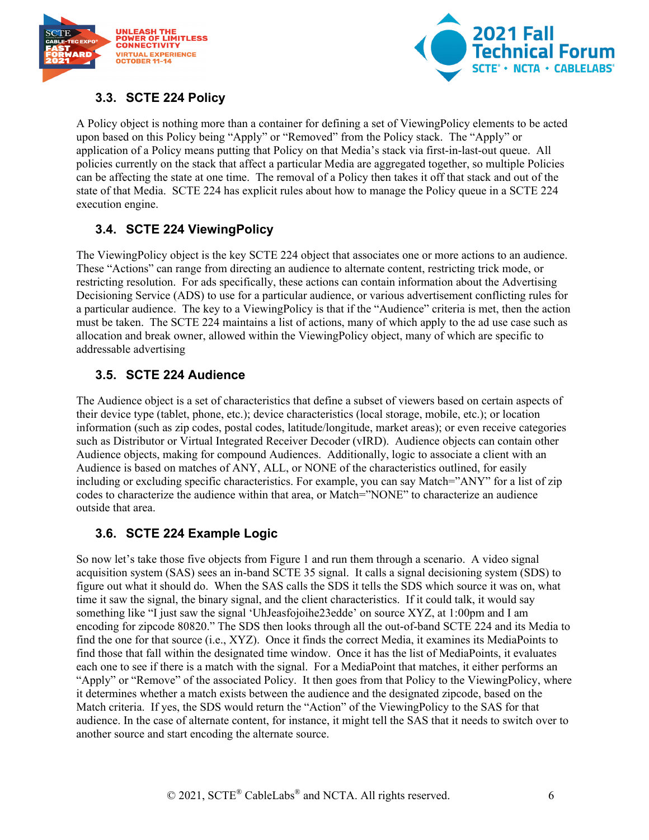



#### <span id="page-5-0"></span>**3.3. SCTE 224 Policy**

A Policy object is nothing more than a container for defining a set of ViewingPolicy elements to be acted upon based on this Policy being "Apply" or "Removed" from the Policy stack. The "Apply" or application of a Policy means putting that Policy on that Media's stack via first-in-last-out queue. All policies currently on the stack that affect a particular Media are aggregated together, so multiple Policies can be affecting the state at one time. The removal of a Policy then takes it off that stack and out of the state of that Media. SCTE 224 has explicit rules about how to manage the Policy queue in a SCTE 224 execution engine.

### <span id="page-5-1"></span>**3.4. SCTE 224 ViewingPolicy**

The ViewingPolicy object is the key SCTE 224 object that associates one or more actions to an audience. These "Actions" can range from directing an audience to alternate content, restricting trick mode, or restricting resolution. For ads specifically, these actions can contain information about the Advertising Decisioning Service (ADS) to use for a particular audience, or various advertisement conflicting rules for a particular audience. The key to a ViewingPolicy is that if the "Audience" criteria is met, then the action must be taken. The SCTE 224 maintains a list of actions, many of which apply to the ad use case such as allocation and break owner, allowed within the ViewingPolicy object, many of which are specific to addressable advertising

#### <span id="page-5-2"></span>**3.5. SCTE 224 Audience**

The Audience object is a set of characteristics that define a subset of viewers based on certain aspects of their device type (tablet, phone, etc.); device characteristics (local storage, mobile, etc.); or location information (such as zip codes, postal codes, latitude/longitude, market areas); or even receive categories such as Distributor or Virtual Integrated Receiver Decoder (vIRD). Audience objects can contain other Audience objects, making for compound Audiences. Additionally, logic to associate a client with an Audience is based on matches of ANY, ALL, or NONE of the characteristics outlined, for easily including or excluding specific characteristics. For example, you can say Match="ANY" for a list of zip codes to characterize the audience within that area, or Match="NONE" to characterize an audience outside that area.

### <span id="page-5-3"></span>**3.6. SCTE 224 Example Logic**

So now let's take those five objects from Figure 1 and run them through a scenario. A video signal acquisition system (SAS) sees an in-band SCTE 35 signal. It calls a signal decisioning system (SDS) to figure out what it should do. When the SAS calls the SDS it tells the SDS which source it was on, what time it saw the signal, the binary signal, and the client characteristics. If it could talk, it would say something like "I just saw the signal 'UhJeasfojoihe23edde' on source XYZ, at 1:00pm and I am encoding for zipcode 80820." The SDS then looks through all the out-of-band SCTE 224 and its Media to find the one for that source (i.e., XYZ). Once it finds the correct Media, it examines its MediaPoints to find those that fall within the designated time window. Once it has the list of MediaPoints, it evaluates each one to see if there is a match with the signal. For a MediaPoint that matches, it either performs an "Apply" or "Remove" of the associated Policy. It then goes from that Policy to the ViewingPolicy, where it determines whether a match exists between the audience and the designated zipcode, based on the Match criteria. If yes, the SDS would return the "Action" of the ViewingPolicy to the SAS for that audience. In the case of alternate content, for instance, it might tell the SAS that it needs to switch over to another source and start encoding the alternate source.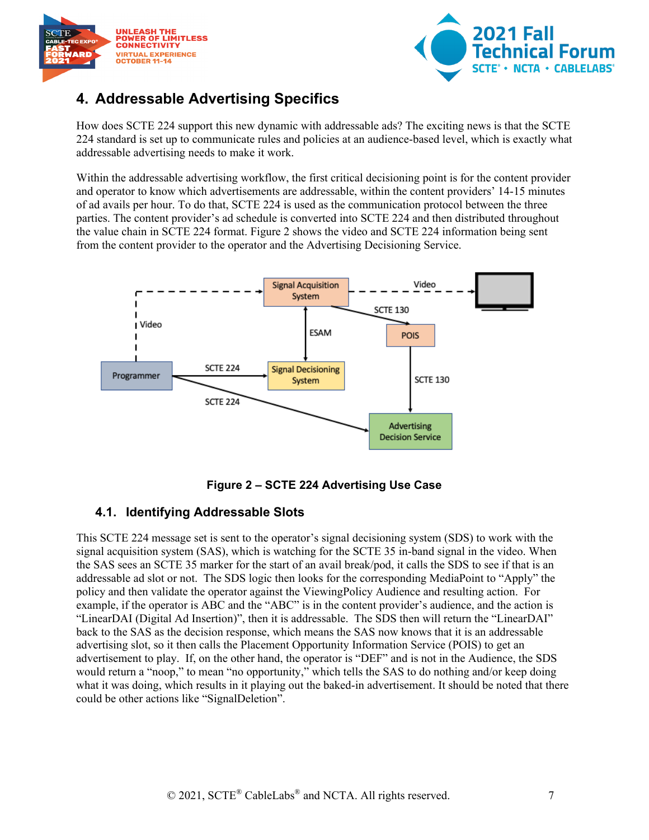



## <span id="page-6-0"></span>**4. Addressable Advertising Specifics**

How does SCTE 224 support this new dynamic with addressable ads? The exciting news is that the SCTE 224 standard is set up to communicate rules and policies at an audience-based level, which is exactly what addressable advertising needs to make it work.

Within the addressable advertising workflow, the first critical decisioning point is for the content provider and operator to know which advertisements are addressable, within the content providers' 14-15 minutes of ad avails per hour. To do that, SCTE 224 is used as the communication protocol between the three parties. The content provider's ad schedule is converted into SCTE 224 and then distributed throughout the value chain in SCTE 224 format. Figure 2 shows the video and SCTE 224 information being sent from the content provider to the operator and the Advertising Decisioning Service.



**Figure 2 – SCTE 224 Advertising Use Case**

#### <span id="page-6-2"></span><span id="page-6-1"></span>**4.1. Identifying Addressable Slots**

This SCTE 224 message set is sent to the operator's signal decisioning system (SDS) to work with the signal acquisition system (SAS), which is watching for the SCTE 35 in-band signal in the video. When the SAS sees an SCTE 35 marker for the start of an avail break/pod, it calls the SDS to see if that is an addressable ad slot or not. The SDS logic then looks for the corresponding MediaPoint to "Apply" the policy and then validate the operator against the ViewingPolicy Audience and resulting action. For example, if the operator is ABC and the "ABC" is in the content provider's audience, and the action is "LinearDAI (Digital Ad Insertion)", then it is addressable. The SDS then will return the "LinearDAI" back to the SAS as the decision response, which means the SAS now knows that it is an addressable advertising slot, so it then calls the Placement Opportunity Information Service (POIS) to get an advertisement to play. If, on the other hand, the operator is "DEF" and is not in the Audience, the SDS would return a "noop," to mean "no opportunity," which tells the SAS to do nothing and/or keep doing what it was doing, which results in it playing out the baked-in advertisement. It should be noted that there could be other actions like "SignalDeletion".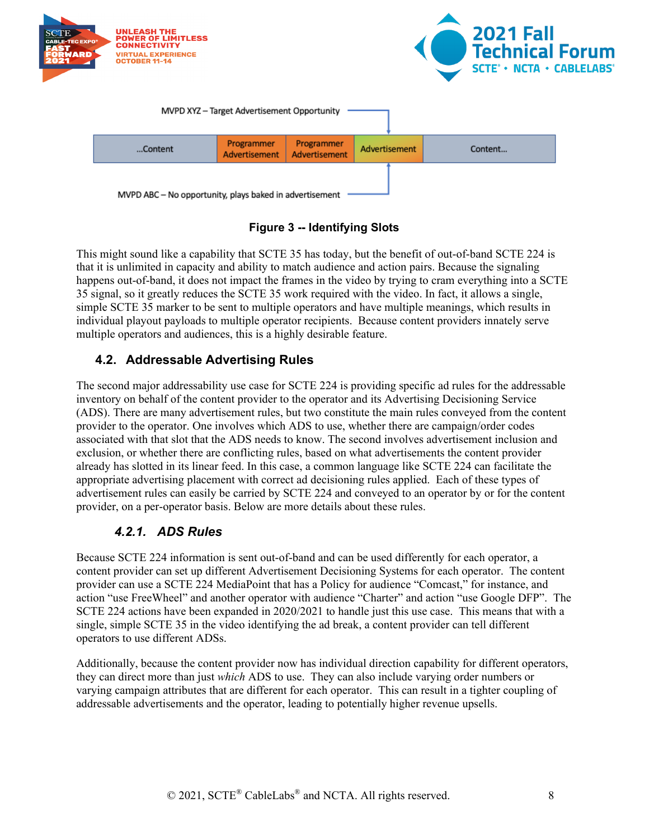

**Figure 3 -- Identifying Slots**

<span id="page-7-2"></span>This might sound like a capability that SCTE 35 has today, but the benefit of out-of-band SCTE 224 is that it is unlimited in capacity and ability to match audience and action pairs. Because the signaling happens out-of-band, it does not impact the frames in the video by trying to cram everything into a SCTE 35 signal, so it greatly reduces the SCTE 35 work required with the video. In fact, it allows a single, simple SCTE 35 marker to be sent to multiple operators and have multiple meanings, which results in individual playout payloads to multiple operator recipients. Because content providers innately serve multiple operators and audiences, this is a highly desirable feature.

#### <span id="page-7-0"></span>**4.2. Addressable Advertising Rules**

The second major addressability use case for SCTE 224 is providing specific ad rules for the addressable inventory on behalf of the content provider to the operator and its Advertising Decisioning Service (ADS). There are many advertisement rules, but two constitute the main rules conveyed from the content provider to the operator. One involves which ADS to use, whether there are campaign/order codes associated with that slot that the ADS needs to know. The second involves advertisement inclusion and exclusion, or whether there are conflicting rules, based on what advertisements the content provider already has slotted in its linear feed. In this case, a common language like SCTE 224 can facilitate the appropriate advertising placement with correct ad decisioning rules applied. Each of these types of advertisement rules can easily be carried by SCTE 224 and conveyed to an operator by or for the content provider, on a per-operator basis. Below are more details about these rules.

#### *4.2.1. ADS Rules*

<span id="page-7-1"></span>Because SCTE 224 information is sent out-of-band and can be used differently for each operator, a content provider can set up different Advertisement Decisioning Systems for each operator. The content provider can use a SCTE 224 MediaPoint that has a Policy for audience "Comcast," for instance, and action "use FreeWheel" and another operator with audience "Charter" and action "use Google DFP". The SCTE 224 actions have been expanded in 2020/2021 to handle just this use case. This means that with a single, simple SCTE 35 in the video identifying the ad break, a content provider can tell different operators to use different ADSs.

Additionally, because the content provider now has individual direction capability for different operators, they can direct more than just *which* ADS to use. They can also include varying order numbers or varying campaign attributes that are different for each operator. This can result in a tighter coupling of addressable advertisements and the operator, leading to potentially higher revenue upsells.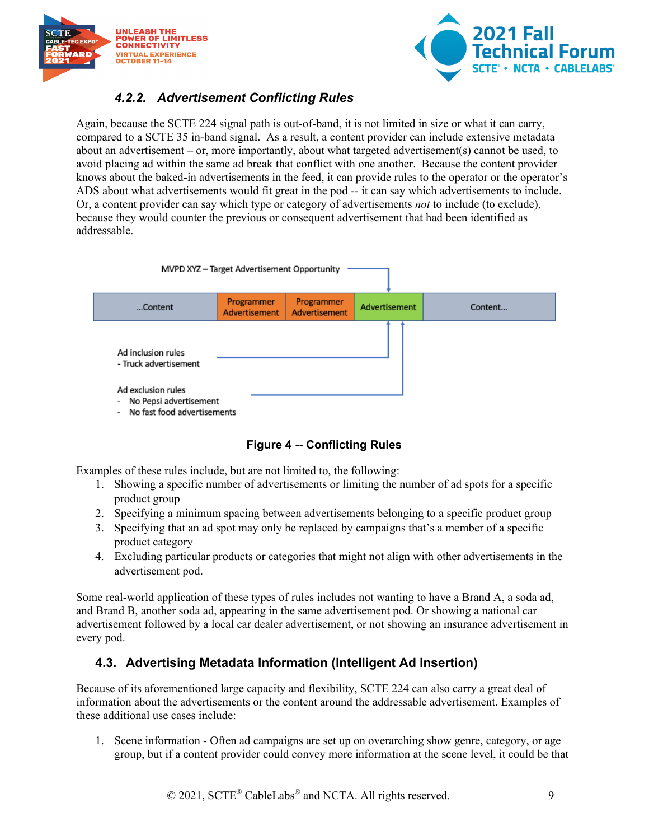



### *4.2.2. Advertisement Conflicting Rules*

<span id="page-8-0"></span>Again, because the SCTE 224 signal path is out-of-band, it is not limited in size or what it can carry, compared to a SCTE 35 in-band signal. As a result, a content provider can include extensive metadata about an advertisement – or, more importantly, about what targeted advertisement(s) cannot be used, to avoid placing ad within the same ad break that conflict with one another. Because the content provider knows about the baked-in advertisements in the feed, it can provide rules to the operator or the operator's ADS about what advertisements would fit great in the pod -- it can say which advertisements to include. Or, a content provider can say which type or category of advertisements *not* to include (to exclude), because they would counter the previous or consequent advertisement that had been identified as addressable.



#### **Figure 4 -- Conflicting Rules**

<span id="page-8-2"></span>Examples of these rules include, but are not limited to, the following:

- 1. Showing a specific number of advertisements or limiting the number of ad spots for a specific product group
- 2. Specifying a minimum spacing between advertisements belonging to a specific product group
- 3. Specifying that an ad spot may only be replaced by campaigns that's a member of a specific product category
- 4. Excluding particular products or categories that might not align with other advertisements in the advertisement pod.

Some real-world application of these types of rules includes not wanting to have a Brand A, a soda ad, and Brand B, another soda ad, appearing in the same advertisement pod. Or showing a national car advertisement followed by a local car dealer advertisement, or not showing an insurance advertisement in every pod.

#### <span id="page-8-1"></span>**4.3. Advertising Metadata Information (Intelligent Ad Insertion)**

Because of its aforementioned large capacity and flexibility, SCTE 224 can also carry a great deal of information about the advertisements or the content around the addressable advertisement. Examples of these additional use cases include:

1. Scene information - Often ad campaigns are set up on overarching show genre, category, or age group, but if a content provider could convey more information at the scene level, it could be that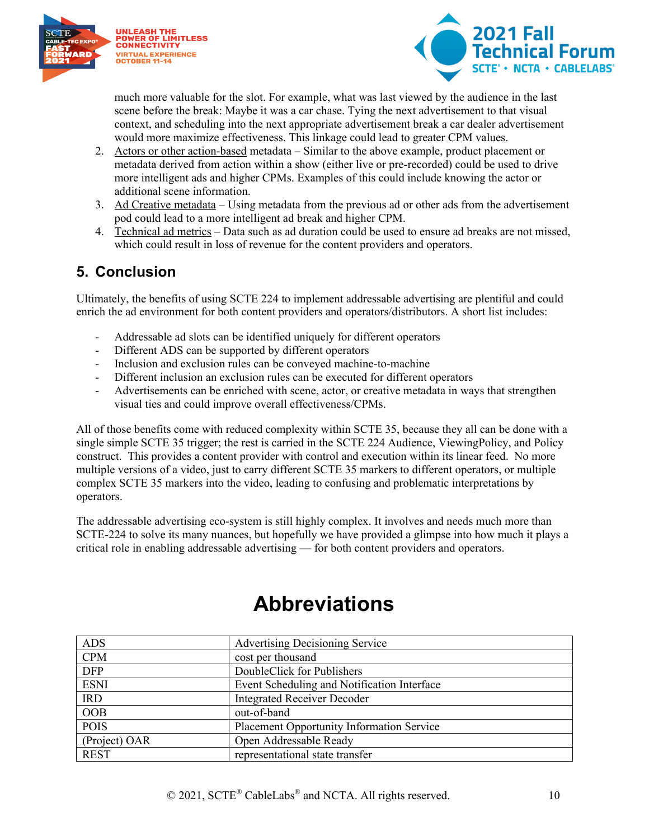



much more valuable for the slot. For example, what was last viewed by the audience in the last scene before the break: Maybe it was a car chase. Tying the next advertisement to that visual context, and scheduling into the next appropriate advertisement break a car dealer advertisement would more maximize effectiveness. This linkage could lead to greater CPM values.

- 2. Actors or other action-based metadata Similar to the above example, product placement or metadata derived from action within a show (either live or pre-recorded) could be used to drive more intelligent ads and higher CPMs. Examples of this could include knowing the actor or additional scene information.
- 3. Ad Creative metadata Using metadata from the previous ad or other ads from the advertisement pod could lead to a more intelligent ad break and higher CPM.
- 4. Technical ad metrics Data such as ad duration could be used to ensure ad breaks are not missed, which could result in loss of revenue for the content providers and operators.

### <span id="page-9-0"></span>**5. Conclusion**

Ultimately, the benefits of using SCTE 224 to implement addressable advertising are plentiful and could enrich the ad environment for both content providers and operators/distributors. A short list includes:

- Addressable ad slots can be identified uniquely for different operators
- Different ADS can be supported by different operators
- Inclusion and exclusion rules can be conveyed machine-to-machine
- Different inclusion an exclusion rules can be executed for different operators
- Advertisements can be enriched with scene, actor, or creative metadata in ways that strengthen visual ties and could improve overall effectiveness/CPMs.

All of those benefits come with reduced complexity within SCTE 35, because they all can be done with a single simple SCTE 35 trigger; the rest is carried in the SCTE 224 Audience, ViewingPolicy, and Policy construct. This provides a content provider with control and execution within its linear feed. No more multiple versions of a video, just to carry different SCTE 35 markers to different operators, or multiple complex SCTE 35 markers into the video, leading to confusing and problematic interpretations by operators.

The addressable advertising eco-system is still highly complex. It involves and needs much more than SCTE-224 to solve its many nuances, but hopefully we have provided a glimpse into how much it plays a critical role in enabling addressable advertising — for both content providers and operators.

<span id="page-9-1"></span>

| <b>ADS</b>    | <b>Advertising Decisioning Service</b>           |
|---------------|--------------------------------------------------|
| <b>CPM</b>    | cost per thousand                                |
| <b>DFP</b>    | DoubleClick for Publishers                       |
| <b>ESNI</b>   | Event Scheduling and Notification Interface      |
| <b>IRD</b>    | <b>Integrated Receiver Decoder</b>               |
| <b>OOB</b>    | out-of-band                                      |
| <b>POIS</b>   | <b>Placement Opportunity Information Service</b> |
| (Project) OAR | Open Addressable Ready                           |
| <b>REST</b>   | representational state transfer                  |

# **Abbreviations**